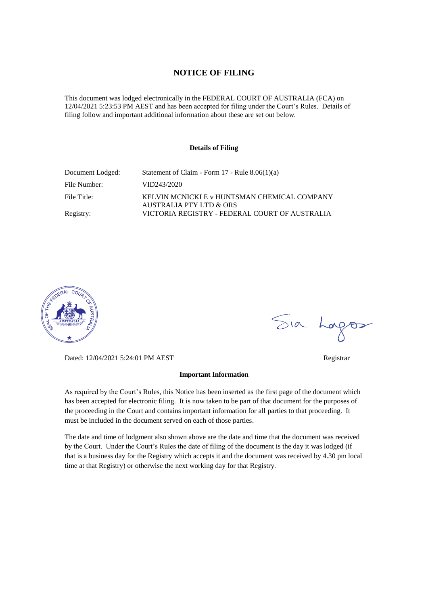#### **NOTICE OF FILING**

This document was lodged electronically in the FEDERAL COURT OF AUSTRALIA (FCA) on 12/04/2021 5:23:53 PM AEST and has been accepted for filing under the Court's Rules. Details of filing follow and important additional information about these are set out below.

#### **Details of Filing**

| Document Lodged: | Statement of Claim - Form $17$ - Rule $8.06(1)(a)$                     |
|------------------|------------------------------------------------------------------------|
| File Number:     | VID243/2020                                                            |
| File Title:      | KELVIN MCNICKLE v HUNTSMAN CHEMICAL COMPANY<br>AUSTRALIA PTY LTD & ORS |
| Registry:        | VICTORIA REGISTRY - FEDERAL COURT OF AUSTRALIA                         |



Dated: 12/04/2021 5:24:01 PM AEST Registrar

#### **Important Information**

As required by the Court's Rules, this Notice has been inserted as the first page of the document which has been accepted for electronic filing. It is now taken to be part of that document for the purposes of the proceeding in the Court and contains important information for all parties to that proceeding. It must be included in the document served on each of those parties.

The date and time of lodgment also shown above are the date and time that the document was received by the Court. Under the Court's Rules the date of filing of the document is the day it was lodged (if that is a business day for the Registry which accepts it and the document was received by 4.30 pm local time at that Registry) or otherwise the next working day for that Registry.

Sia Logos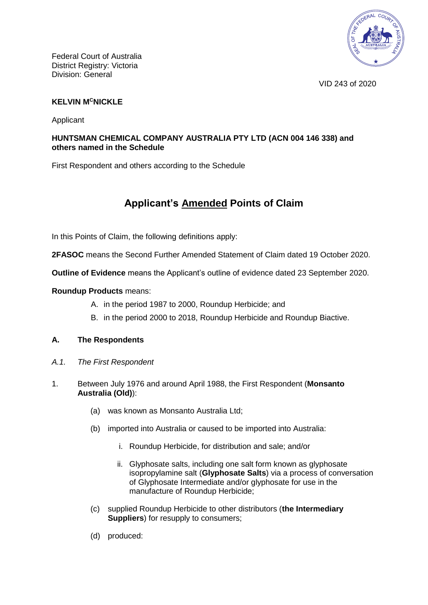

VID 243 of 2020

## **KELVIN M<sup>C</sup>NICKLE**

Applicant

## **HUNTSMAN CHEMICAL COMPANY AUSTRALIA PTY LTD (ACN 004 146 338) and others named in the Schedule**

First Respondent and others according to the Schedule

# **Applicant's Amended Points of Claim**

In this Points of Claim, the following definitions apply:

**2FASOC** means the Second Further Amended Statement of Claim dated 19 October 2020.

**Outline of Evidence** means the Applicant's outline of evidence dated 23 September 2020.

## **Roundup Products** means:

- A. in the period 1987 to 2000, Roundup Herbicide; and
- B. in the period 2000 to 2018, Roundup Herbicide and Roundup Biactive.

## **A. The Respondents**

- *A.1. The First Respondent*
- <span id="page-1-0"></span>1. Between July 1976 and around April 1988, the First Respondent (**Monsanto Australia (Old)**):
	- (a) was known as Monsanto Australia Ltd;
	- (b) imported into Australia or caused to be imported into Australia:
		- i. Roundup Herbicide, for distribution and sale; and/or
		- ii. Glyphosate salts, including one salt form known as glyphosate isopropylamine salt (**Glyphosate Salts**) via a process of conversation of Glyphosate Intermediate and/or glyphosate for use in the manufacture of Roundup Herbicide;
	- (c) supplied Roundup Herbicide to other distributors (**the Intermediary Suppliers**) for resupply to consumers;
	- (d) produced: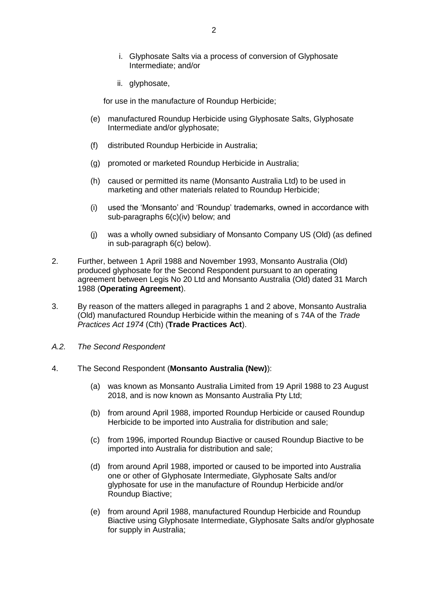- i. Glyphosate Salts via a process of conversion of Glyphosate Intermediate; and/or
- ii. glyphosate,

for use in the manufacture of Roundup Herbicide;

- (e) manufactured Roundup Herbicide using Glyphosate Salts, Glyphosate Intermediate and/or glyphosate;
- (f) distributed Roundup Herbicide in Australia;
- (g) promoted or marketed Roundup Herbicide in Australia;
- (h) caused or permitted its name (Monsanto Australia Ltd) to be used in marketing and other materials related to Roundup Herbicide;
- (i) used the 'Monsanto' and 'Roundup' trademarks, owned in accordance with sub-paragraphs [6\(](#page-3-0)c)(iv) below; and
- (j) was a wholly owned subsidiary of Monsanto Company US (Old) (as defined in sub-paragraph [6\(c\)](#page-4-0) below).
- <span id="page-2-0"></span>2. Further, between 1 April 1988 and November 1993, Monsanto Australia (Old) produced glyphosate for the Second Respondent pursuant to an operating agreement between Legis No 20 Ltd and Monsanto Australia (Old) dated 31 March 1988 (**Operating Agreement**).
- 3. By reason of the matters alleged in paragraphs [1](#page-1-0) and [2](#page-2-0) above, Monsanto Australia (Old) manufactured Roundup Herbicide within the meaning of s 74A of the *Trade Practices Act 1974* (Cth) (**Trade Practices Act**).
- *A.2. The Second Respondent*
- <span id="page-2-1"></span>4. The Second Respondent (**Monsanto Australia (New)**):
	- (a) was known as Monsanto Australia Limited from 19 April 1988 to 23 August 2018, and is now known as Monsanto Australia Pty Ltd;
	- (b) from around April 1988, imported Roundup Herbicide or caused Roundup Herbicide to be imported into Australia for distribution and sale;
	- (c) from 1996, imported Roundup Biactive or caused Roundup Biactive to be imported into Australia for distribution and sale;
	- (d) from around April 1988, imported or caused to be imported into Australia one or other of Glyphosate Intermediate, Glyphosate Salts and/or glyphosate for use in the manufacture of Roundup Herbicide and/or Roundup Biactive;
	- (e) from around April 1988, manufactured Roundup Herbicide and Roundup Biactive using Glyphosate Intermediate, Glyphosate Salts and/or glyphosate for supply in Australia;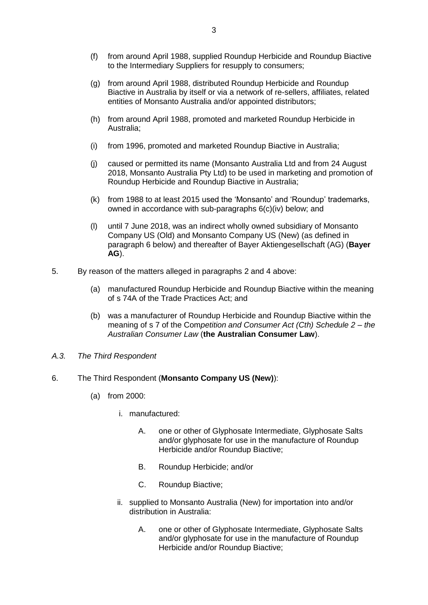- (f) from around April 1988, supplied Roundup Herbicide and Roundup Biactive to the Intermediary Suppliers for resupply to consumers;
- (g) from around April 1988, distributed Roundup Herbicide and Roundup Biactive in Australia by itself or via a network of re-sellers, affiliates, related entities of Monsanto Australia and/or appointed distributors;
- (h) from around April 1988, promoted and marketed Roundup Herbicide in Australia;
- (i) from 1996, promoted and marketed Roundup Biactive in Australia;
- (j) caused or permitted its name (Monsanto Australia Ltd and from 24 August 2018, Monsanto Australia Pty Ltd) to be used in marketing and promotion of Roundup Herbicide and Roundup Biactive in Australia;
- (k) from 1988 to at least 2015 used the 'Monsanto' and 'Roundup' trademarks, owned in accordance with sub-paragraphs [6\(](#page-3-0)c)(iv) below; and
- (l) until 7 June 2018, was an indirect wholly owned subsidiary of Monsanto Company US (Old) and Monsanto Company US (New) (as defined in paragraph 6 below) and thereafter of Bayer Aktiengesellschaft (AG) (**Bayer AG**).
- 5. By reason of the matters alleged in paragraphs [2](#page-2-0) and [4](#page-2-1) above:
	- (a) manufactured Roundup Herbicide and Roundup Biactive within the meaning of s 74A of the Trade Practices Act; and
	- (b) was a manufacturer of Roundup Herbicide and Roundup Biactive within the meaning of s 7 of the Com*petition and Consumer Act (Cth) Schedule 2 – the Australian Consumer Law* (**the Australian Consumer Law**).
- *A.3. The Third Respondent*
- <span id="page-3-1"></span><span id="page-3-0"></span>6. The Third Respondent (**Monsanto Company US (New)**):
	- (a) from 2000:
		- i. manufactured:
			- A. one or other of Glyphosate Intermediate, Glyphosate Salts and/or glyphosate for use in the manufacture of Roundup Herbicide and/or Roundup Biactive;
			- B. Roundup Herbicide; and/or
			- C. Roundup Biactive;
		- ii. supplied to Monsanto Australia (New) for importation into and/or distribution in Australia:
			- A. one or other of Glyphosate Intermediate, Glyphosate Salts and/or glyphosate for use in the manufacture of Roundup Herbicide and/or Roundup Biactive;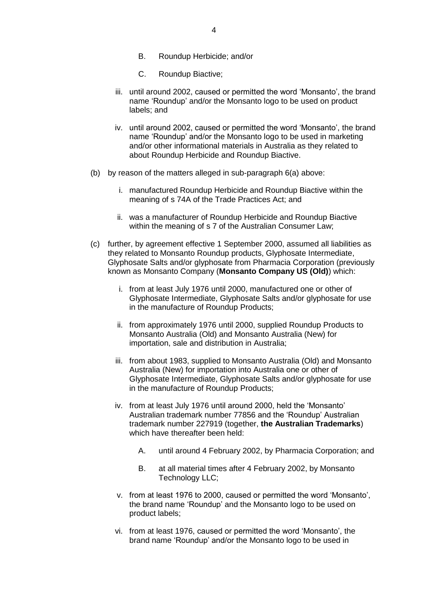- B. Roundup Herbicide; and/or
- C. Roundup Biactive;
- iii. until around 2002, caused or permitted the word 'Monsanto', the brand name 'Roundup' and/or the Monsanto logo to be used on product labels; and
- iv. until around 2002, caused or permitted the word 'Monsanto', the brand name 'Roundup' and/or the Monsanto logo to be used in marketing and/or other informational materials in Australia as they related to about Roundup Herbicide and Roundup Biactive.
- (b) by reason of the matters alleged in sub-paragraph [6\(a\)](#page-3-1) above:
	- i. manufactured Roundup Herbicide and Roundup Biactive within the meaning of s 74A of the Trade Practices Act; and
	- ii. was a manufacturer of Roundup Herbicide and Roundup Biactive within the meaning of s 7 of the Australian Consumer Law;
- <span id="page-4-0"></span>(c) further, by agreement effective 1 September 2000, assumed all liabilities as they related to Monsanto Roundup products, Glyphosate Intermediate, Glyphosate Salts and/or glyphosate from Pharmacia Corporation (previously known as Monsanto Company (**Monsanto Company US (Old)**) which:
	- i. from at least July 1976 until 2000, manufactured one or other of Glyphosate Intermediate, Glyphosate Salts and/or glyphosate for use in the manufacture of Roundup Products;
	- ii. from approximately 1976 until 2000, supplied Roundup Products to Monsanto Australia (Old) and Monsanto Australia (New) for importation, sale and distribution in Australia;
	- iii. from about 1983, supplied to Monsanto Australia (Old) and Monsanto Australia (New) for importation into Australia one or other of Glyphosate Intermediate, Glyphosate Salts and/or glyphosate for use in the manufacture of Roundup Products;
	- iv. from at least July 1976 until around 2000, held the 'Monsanto' Australian trademark number 77856 and the 'Roundup' Australian trademark number 227919 (together, **the Australian Trademarks**) which have thereafter been held:
		- A. until around 4 February 2002, by Pharmacia Corporation; and
		- B. at all material times after 4 February 2002, by Monsanto Technology LLC;
	- v. from at least 1976 to 2000, caused or permitted the word 'Monsanto', the brand name 'Roundup' and the Monsanto logo to be used on product labels;
	- vi. from at least 1976, caused or permitted the word 'Monsanto', the brand name 'Roundup' and/or the Monsanto logo to be used in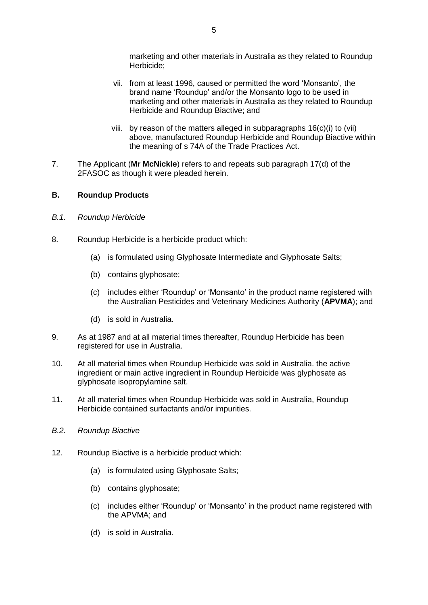marketing and other materials in Australia as they related to Roundup Herbicide;

- vii. from at least 1996, caused or permitted the word 'Monsanto', the brand name 'Roundup' and/or the Monsanto logo to be used in marketing and other materials in Australia as they related to Roundup Herbicide and Roundup Biactive; and
- viii. by reason of the matters alleged in subparagraphs 16(c)(i) to (vii) above, manufactured Roundup Herbicide and Roundup Biactive within the meaning of s 74A of the Trade Practices Act.
- 7. The Applicant (**Mr McNickle**) refers to and repeats sub paragraph 17(d) of the 2FASOC as though it were pleaded herein.

## **B. Roundup Products**

- *B.1. Roundup Herbicide*
- 8. Roundup Herbicide is a herbicide product which:
	- (a) is formulated using Glyphosate Intermediate and Glyphosate Salts;
	- (b) contains glyphosate;
	- (c) includes either 'Roundup' or 'Monsanto' in the product name registered with the Australian Pesticides and Veterinary Medicines Authority (**APVMA**); and
	- (d) is sold in Australia.
- 9. As at 1987 and at all material times thereafter, Roundup Herbicide has been registered for use in Australia.
- 10. At all material times when Roundup Herbicide was sold in Australia. the active ingredient or main active ingredient in Roundup Herbicide was glyphosate as glyphosate isopropylamine salt.
- 11. At all material times when Roundup Herbicide was sold in Australia, Roundup Herbicide contained surfactants and/or impurities.
- *B.2. Roundup Biactive*
- 12. Roundup Biactive is a herbicide product which:
	- (a) is formulated using Glyphosate Salts;
	- (b) contains glyphosate;
	- (c) includes either 'Roundup' or 'Monsanto' in the product name registered with the APVMA; and
	- (d) is sold in Australia.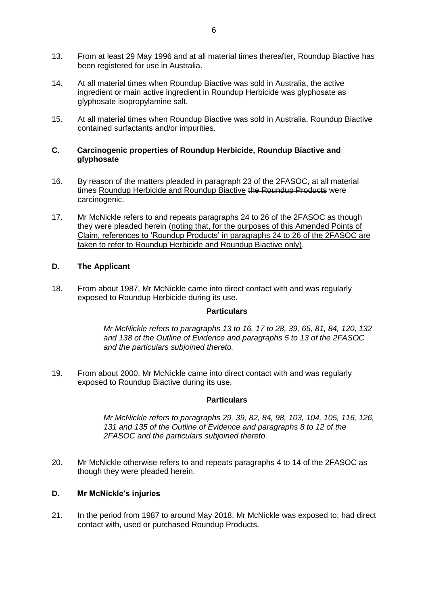- 13. From at least 29 May 1996 and at all material times thereafter, Roundup Biactive has been registered for use in Australia.
- 14. At all material times when Roundup Biactive was sold in Australia, the active ingredient or main active ingredient in Roundup Herbicide was glyphosate as glyphosate isopropylamine salt.
- 15. At all material times when Roundup Biactive was sold in Australia, Roundup Biactive contained surfactants and/or impurities.

## **C. Carcinogenic properties of Roundup Herbicide, Roundup Biactive and glyphosate**

- <span id="page-6-0"></span>16. By reason of the matters pleaded in paragraph 23 of the 2FASOC, at all material times Roundup Herbicide and Roundup Biactive the Roundup Products were carcinogenic.
- <span id="page-6-1"></span>17. Mr McNickle refers to and repeats paragraphs 24 to 26 of the 2FASOC as though they were pleaded herein (noting that, for the purposes of this Amended Points of Claim, references to 'Roundup Products' in paragraphs 24 to 26 of the 2FASOC are taken to refer to Roundup Herbicide and Roundup Biactive only).

## **D. The Applicant**

18. From about 1987, Mr McNickle came into direct contact with and was regularly exposed to Roundup Herbicide during its use.

#### **Particulars**

*Mr McNickle refers to paragraphs 13 to 16, 17 to 28, 39, 65, 81, 84, 120, 132 and 138 of the Outline of Evidence and paragraphs 5 to 13 of the 2FASOC and the particulars subjoined thereto.*

19. From about 2000, Mr McNickle came into direct contact with and was regularly exposed to Roundup Biactive during its use.

#### **Particulars**

*Mr McNickle refers to paragraphs 29, 39, 82, 84, 98, 103, 104, 105, 116, 126, 131 and 135 of the Outline of Evidence and paragraphs 8 to 12 of the 2FASOC and the particulars subjoined thereto.*

20. Mr McNickle otherwise refers to and repeats paragraphs 4 to 14 of the 2FASOC as though they were pleaded herein.

## **D. Mr McNickle's injuries**

21. In the period from 1987 to around May 2018, Mr McNickle was exposed to, had direct contact with, used or purchased Roundup Products.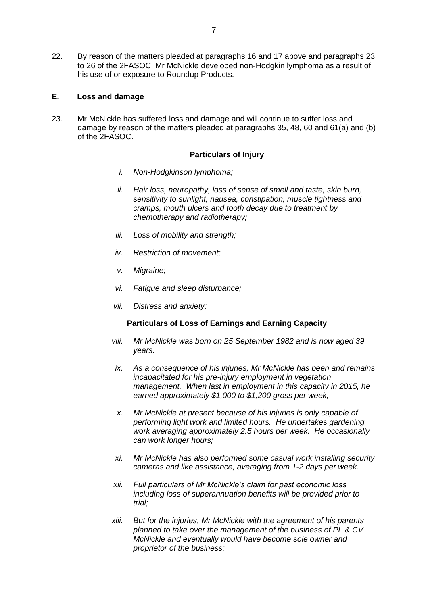22. By reason of the matters pleaded at paragraphs [16](#page-6-0) and [17](#page-6-1) above and paragraphs 23 to 26 of the 2FASOC, Mr McNickle developed non-Hodgkin lymphoma as a result of his use of or exposure to Roundup Products.

## **E. Loss and damage**

23. Mr McNickle has suffered loss and damage and will continue to suffer loss and damage by reason of the matters pleaded at paragraphs 35, 48, 60 and 61(a) and (b) of the 2FASOC.

### **Particulars of Injury**

- *i. Non-Hodgkinson lymphoma;*
- *ii. Hair loss, neuropathy, loss of sense of smell and taste, skin burn, sensitivity to sunlight, nausea, constipation, muscle tightness and cramps, mouth ulcers and tooth decay due to treatment by chemotherapy and radiotherapy;*
- *iii. Loss of mobility and strength;*
- *iv. Restriction of movement;*
- *v. Migraine;*
- *vi. Fatigue and sleep disturbance;*
- *vii. Distress and anxiety;*

## **Particulars of Loss of Earnings and Earning Capacity**

- *viii. Mr McNickle was born on 25 September 1982 and is now aged 39 years.*
- *ix. As a consequence of his injuries, Mr McNickle has been and remains incapacitated for his pre-injury employment in vegetation management. When last in employment in this capacity in 2015, he earned approximately \$1,000 to \$1,200 gross per week;*
- *x. Mr McNickle at present because of his injuries is only capable of performing light work and limited hours. He undertakes gardening work averaging approximately 2.5 hours per week. He occasionally can work longer hours;*
- *xi. Mr McNickle has also performed some casual work installing security cameras and like assistance, averaging from 1-2 days per week.*
- *xii. Full particulars of Mr McNickle's claim for past economic loss including loss of superannuation benefits will be provided prior to trial;*
- *xiii. But for the injuries, Mr McNickle with the agreement of his parents planned to take over the management of the business of PL & CV McNickle and eventually would have become sole owner and proprietor of the business;*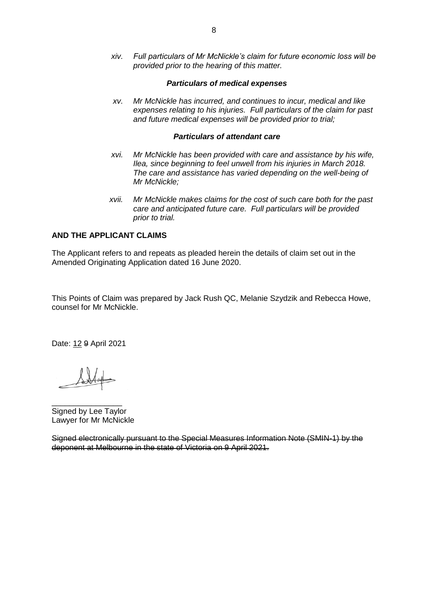*xiv. Full particulars of Mr McNickle's claim for future economic loss will be provided prior to the hearing of this matter.* 

#### *Particulars of medical expenses*

*xv. Mr McNickle has incurred, and continues to incur, medical and like expenses relating to his injuries. Full particulars of the claim for past and future medical expenses will be provided prior to trial;*

#### *Particulars of attendant care*

- *xvi. Mr McNickle has been provided with care and assistance by his wife, Ilea, since beginning to feel unwell from his injuries in March 2018. The care and assistance has varied depending on the well-being of Mr McNickle;*
- *xvii. Mr McNickle makes claims for the cost of such care both for the past care and anticipated future care. Full particulars will be provided prior to trial.*

## **AND THE APPLICANT CLAIMS**

The Applicant refers to and repeats as pleaded herein the details of claim set out in the Amended Originating Application dated 16 June 2020.

This Points of Claim was prepared by Jack Rush QC, Melanie Szydzik and Rebecca Howe, counsel for Mr McNickle.

Date: 12 9 April 2021

\_\_\_\_\_\_\_\_\_\_\_\_\_\_\_\_ Signed by Lee Taylor Lawyer for Mr McNickle

Signed electronically pursuant to the Special Measures Information Note (SMIN-1) by the deponent at Melbourne in the state of Victoria on 9 April 2021.